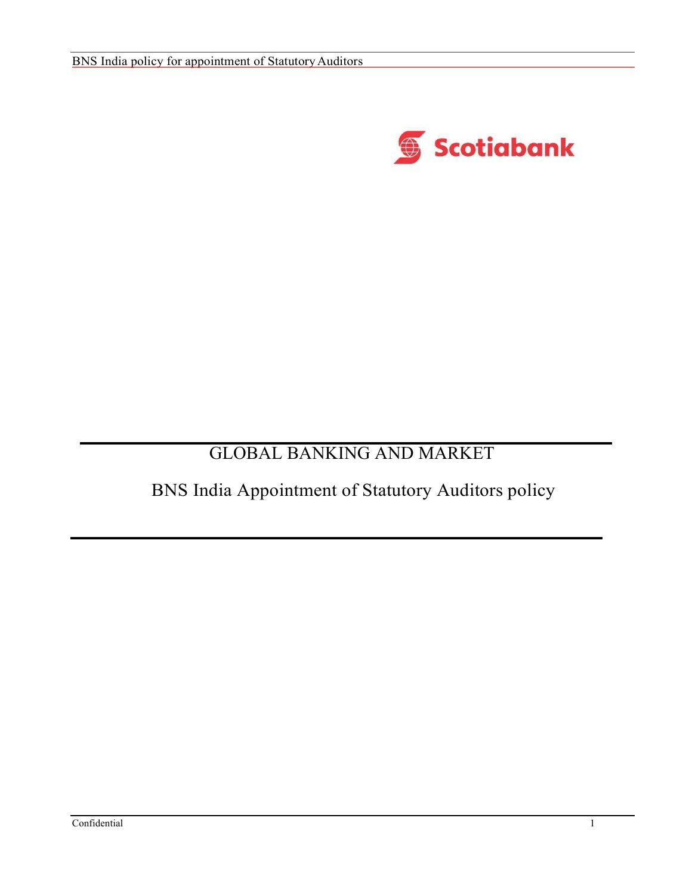

# GLOBAL BANKING AND MARKET

# BNS India Appointment of Statutory Auditors policy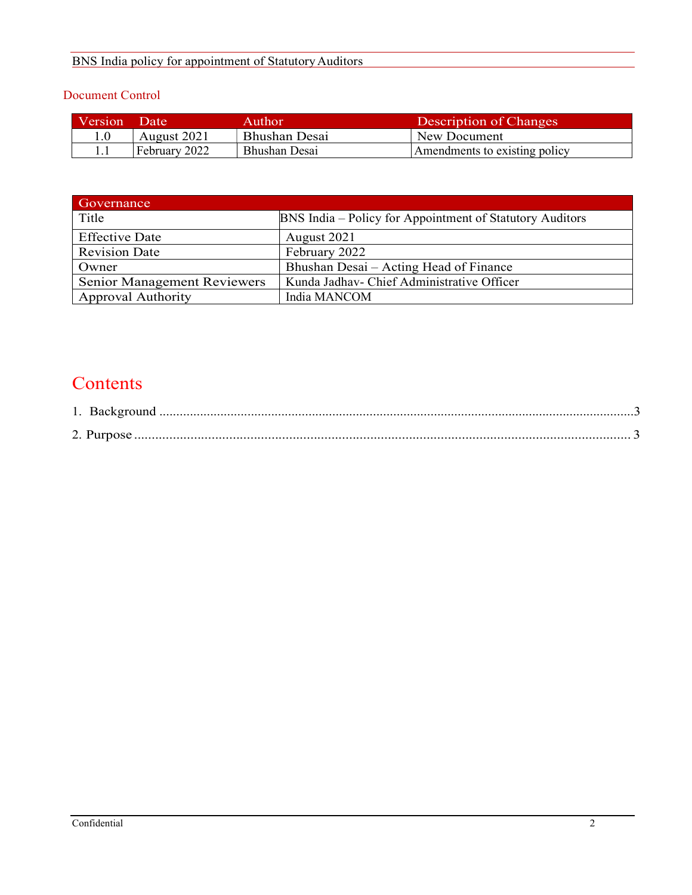# BNS India policy for appointment of Statutory Auditors

# Document Control

| Version | <b>TDate</b>  | Author        | Description of Changes        |
|---------|---------------|---------------|-------------------------------|
|         | August 2021   | Bhushan Desai | New Document                  |
|         | February 2022 | Bhushan Desai | Amendments to existing policy |

| Governance                         |                                                          |  |
|------------------------------------|----------------------------------------------------------|--|
| Title                              | BNS India – Policy for Appointment of Statutory Auditors |  |
| <b>Effective Date</b>              | August 2021                                              |  |
| <b>Revision Date</b>               | February 2022                                            |  |
| Owner                              | Bhushan Desai – Acting Head of Finance                   |  |
| <b>Senior Management Reviewers</b> | Kunda Jadhav- Chief Administrative Officer               |  |
| <b>Approval Authority</b>          | India MANCOM                                             |  |

# **Contents**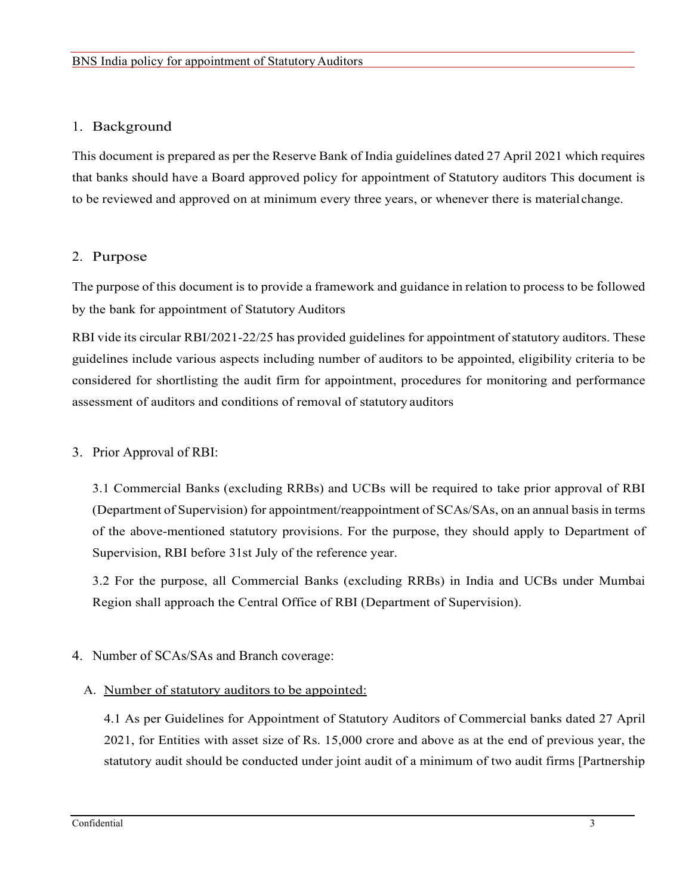# 1. Background

This document is prepared as per the Reserve Bank of India guidelines dated 27 April 2021 which requires that banks should have a Board approved policy for appointment of Statutory auditors This document is to be reviewed and approved on at minimum every three years, or whenever there is material change.

# 2. Purpose

The purpose of this document is to provide a framework and guidance in relation to process to be followed by the bank for appointment of Statutory Auditors

RBI vide its circular RBI/2021-22/25 has provided guidelines for appointment of statutory auditors. These guidelines include various aspects including number of auditors to be appointed, eligibility criteria to be considered for shortlisting the audit firm for appointment, procedures for monitoring and performance assessment of auditors and conditions of removal of statutory auditors

# 3. Prior Approval of RBI:

3.1 Commercial Banks (excluding RRBs) and UCBs will be required to take prior approval of RBI (Department of Supervision) for appointment/reappointment of SCAs/SAs, on an annual basis in terms of the above-mentioned statutory provisions. For the purpose, they should apply to Department of Supervision, RBI before 31st July of the reference year.

3.2 For the purpose, all Commercial Banks (excluding RRBs) in India and UCBs under Mumbai Region shall approach the Central Office of RBI (Department of Supervision).

# 4. Number of SCAs/SAs and Branch coverage:

## A. Number of statutory auditors to be appointed:

4.1 As per Guidelines for Appointment of Statutory Auditors of Commercial banks dated 27 April 2021, for Entities with asset size of Rs. 15,000 crore and above as at the end of previous year, the statutory audit should be conducted under joint audit of a minimum of two audit firms [Partnership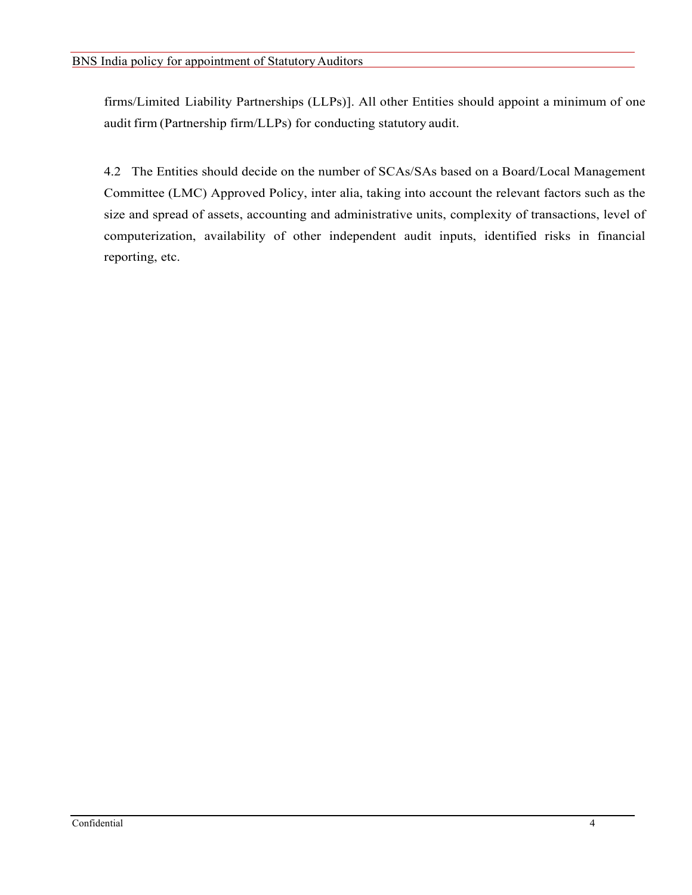firms/Limited Liability Partnerships (LLPs)]. All other Entities should appoint a minimum of one audit firm (Partnership firm/LLPs) for conducting statutory audit.

4.2 The Entities should decide on the number of SCAs/SAs based on a Board/Local Management Committee (LMC) Approved Policy, inter alia, taking into account the relevant factors such as the size and spread of assets, accounting and administrative units, complexity of transactions, level of computerization, availability of other independent audit inputs, identified risks in financial reporting, etc.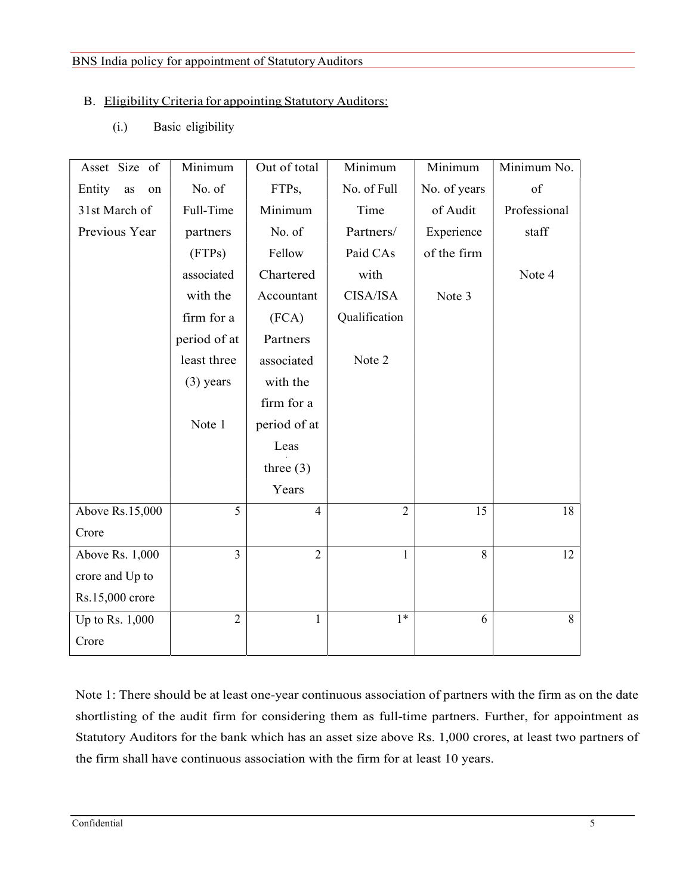#### BNS India policy for appointment of Statutory Auditors

# B. Eligibility Criteria for appointing Statutory Auditors:

(i.) Basic eligibility

| Asset Size of   | Minimum        | Out of total   | Minimum        | Minimum      | Minimum No.   |
|-----------------|----------------|----------------|----------------|--------------|---------------|
| Entity as<br>on | No. of         | FTPs,          | No. of Full    | No. of years | $\mathrm{of}$ |
| 31st March of   | Full-Time      | Minimum        | Time           | of Audit     | Professional  |
| Previous Year   | partners       | No. of         | Partners/      | Experience   | staff         |
|                 | (FTPs)         | Fellow         | Paid CAs       | of the firm  |               |
|                 | associated     | Chartered      | with           |              | Note 4        |
|                 | with the       | Accountant     | CISA/ISA       | Note 3       |               |
|                 | firm for a     | (FCA)          | Qualification  |              |               |
|                 | period of at   | Partners       |                |              |               |
|                 | least three    | associated     | Note 2         |              |               |
|                 | $(3)$ years    | with the       |                |              |               |
|                 |                | firm for a     |                |              |               |
|                 | Note 1         | period of at   |                |              |               |
|                 |                | Leas           |                |              |               |
|                 |                | three $(3)$    |                |              |               |
|                 |                | Years          |                |              |               |
| Above Rs.15,000 | 5              | $\overline{4}$ | $\overline{2}$ | 15           | 18            |
| Crore           |                |                |                |              |               |
| Above Rs. 1,000 | $\overline{3}$ | $\overline{2}$ | $\mathbf{1}$   | 8            | 12            |
| crore and Up to |                |                |                |              |               |
| Rs.15,000 crore |                |                |                |              |               |
| Up to Rs. 1,000 | $\overline{2}$ |                | $1*$           | 6            | 8             |
| Crore           |                |                |                |              |               |

Note 1: There should be at least one-year continuous association of partners with the firm as on the date shortlisting of the audit firm for considering them as full-time partners. Further, for appointment as Statutory Auditors for the bank which has an asset size above Rs. 1,000 crores, at least two partners of the firm shall have continuous association with the firm for at least 10 years.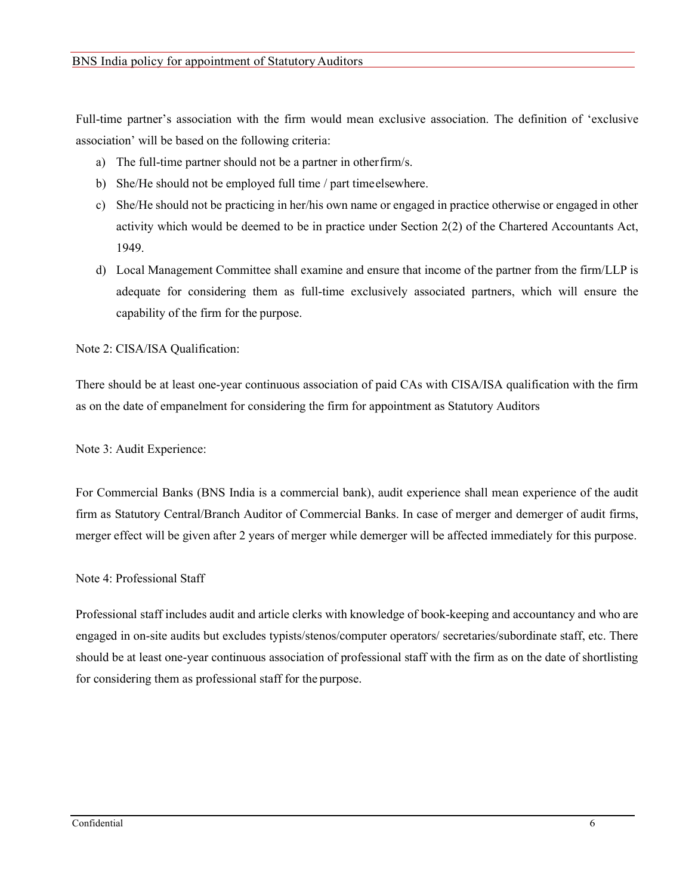Full-time partner's association with the firm would mean exclusive association. The definition of 'exclusive association' will be based on the following criteria:

- a) The full-time partner should not be a partner in other firm/s.
- b) She/He should not be employed full time / part time elsewhere.
- c) She/He should not be practicing in her/his own name or engaged in practice otherwise or engaged in other activity which would be deemed to be in practice under Section 2(2) of the Chartered Accountants Act, 1949.
- d) Local Management Committee shall examine and ensure that income of the partner from the firm/LLP is adequate for considering them as full-time exclusively associated partners, which will ensure the capability of the firm for the purpose.

Note 2: CISA/ISA Qualification:

There should be at least one-year continuous association of paid CAs with CISA/ISA qualification with the firm as on the date of empanelment for considering the firm for appointment as Statutory Auditors

Note 3: Audit Experience:

For Commercial Banks (BNS India is a commercial bank), audit experience shall mean experience of the audit firm as Statutory Central/Branch Auditor of Commercial Banks. In case of merger and demerger of audit firms, merger effect will be given after 2 years of merger while demerger will be affected immediately for this purpose.

## Note 4: Professional Staff

Professional staff includes audit and article clerks with knowledge of book-keeping and accountancy and who are engaged in on-site audits but excludes typists/stenos/computer operators/ secretaries/subordinate staff, etc. There should be at least one-year continuous association of professional staff with the firm as on the date of shortlisting for considering them as professional staff for the purpose.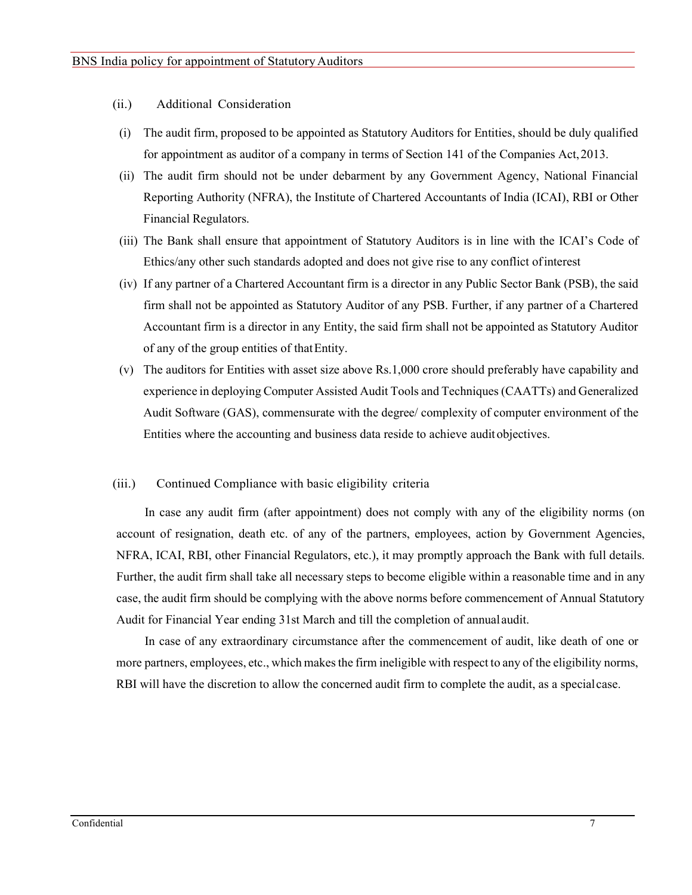- (ii.) Additional Consideration
- (i) The audit firm, proposed to be appointed as Statutory Auditors for Entities, should be duly qualified for appointment as auditor of a company in terms of Section 141 of the Companies Act, 2013.
- (ii) The audit firm should not be under debarment by any Government Agency, National Financial Reporting Authority (NFRA), the Institute of Chartered Accountants of India (ICAI), RBI or Other Financial Regulators.
- (iii) The Bank shall ensure that appointment of Statutory Auditors is in line with the ICAI's Code of Ethics/any other such standards adopted and does not give rise to any conflict of interest
- (iv) If any partner of a Chartered Accountant firm is a director in any Public Sector Bank (PSB), the said firm shall not be appointed as Statutory Auditor of any PSB. Further, if any partner of a Chartered Accountant firm is a director in any Entity, the said firm shall not be appointed as Statutory Auditor of any of the group entities of that Entity.
- (v) The auditors for Entities with asset size above Rs.1,000 crore should preferably have capability and experience in deploying Computer Assisted Audit Tools and Techniques (CAATTs) and Generalized Audit Software (GAS), commensurate with the degree/ complexity of computer environment of the Entities where the accounting and business data reside to achieve audit objectives.

#### (iii.) Continued Compliance with basic eligibility criteria

In case any audit firm (after appointment) does not comply with any of the eligibility norms (on account of resignation, death etc. of any of the partners, employees, action by Government Agencies, NFRA, ICAI, RBI, other Financial Regulators, etc.), it may promptly approach the Bank with full details. Further, the audit firm shall take all necessary steps to become eligible within a reasonable time and in any case, the audit firm should be complying with the above norms before commencement of Annual Statutory Audit for Financial Year ending 31st March and till the completion of annual audit.

In case of any extraordinary circumstance after the commencement of audit, like death of one or more partners, employees, etc., which makes the firm ineligible with respect to any of the eligibility norms, RBI will have the discretion to allow the concerned audit firm to complete the audit, as a special case.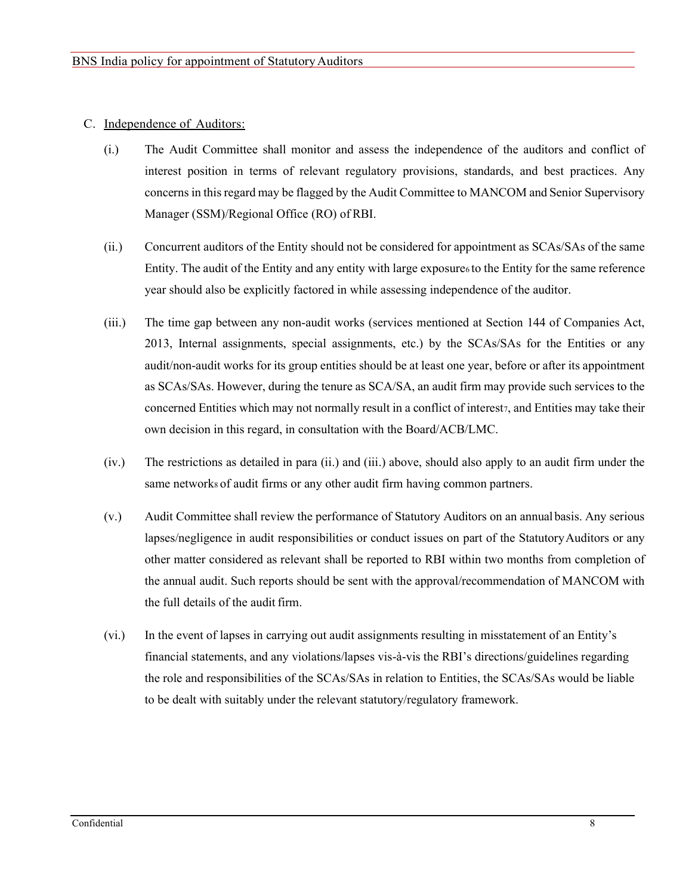#### C. Independence of Auditors:

- (i.) The Audit Committee shall monitor and assess the independence of the auditors and conflict of interest position in terms of relevant regulatory provisions, standards, and best practices. Any concerns in this regard may be flagged by the Audit Committee to MANCOM and Senior Supervisory Manager (SSM)/Regional Office (RO) of RBI.
- (ii.) Concurrent auditors of the Entity should not be considered for appointment as SCAs/SAs of the same Entity. The audit of the Entity and any entity with large exposure to the Entity for the same reference year should also be explicitly factored in while assessing independence of the auditor.
- (iii.) The time gap between any non-audit works (services mentioned at Section 144 of Companies Act, 2013, Internal assignments, special assignments, etc.) by the SCAs/SAs for the Entities or any audit/non-audit works for its group entities should be at least one year, before or after its appointment as SCAs/SAs. However, during the tenure as SCA/SA, an audit firm may provide such services to the concerned Entities which may not normally result in a conflict of interest, and Entities may take their own decision in this regard, in consultation with the Board/ACB/LMC.
- (iv.) The restrictions as detailed in para (ii.) and (iii.) above, should also apply to an audit firm under the same networks of audit firms or any other audit firm having common partners.
- (v.) Audit Committee shall review the performance of Statutory Auditors on an annual basis. Any serious lapses/negligence in audit responsibilities or conduct issues on part of the Statutory Auditors or any other matter considered as relevant shall be reported to RBI within two months from completion of the annual audit. Such reports should be sent with the approval/recommendation of MANCOM with the full details of the audit firm.
- (vi.) In the event of lapses in carrying out audit assignments resulting in misstatement of an Entity's financial statements, and any violations/lapses vis-à-vis the RBI's directions/guidelines regarding the role and responsibilities of the SCAs/SAs in relation to Entities, the SCAs/SAs would be liable to be dealt with suitably under the relevant statutory/regulatory framework.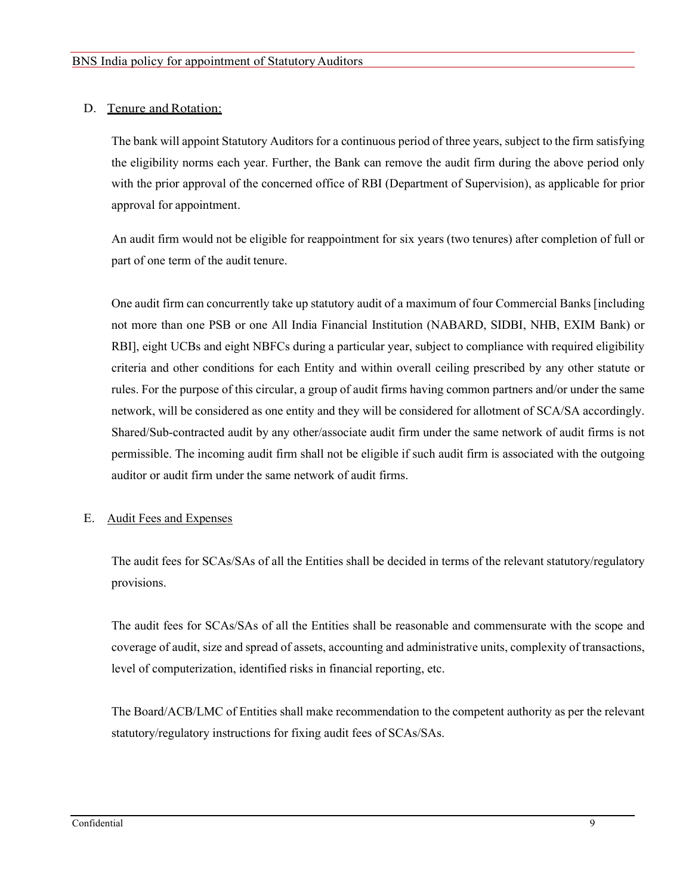# D. Tenure and Rotation:

The bank will appoint Statutory Auditors for a continuous period of three years, subject to the firm satisfying the eligibility norms each year. Further, the Bank can remove the audit firm during the above period only with the prior approval of the concerned office of RBI (Department of Supervision), as applicable for prior approval for appointment.

An audit firm would not be eligible for reappointment for six years (two tenures) after completion of full or part of one term of the audit tenure.

One audit firm can concurrently take up statutory audit of a maximum of four Commercial Banks [including not more than one PSB or one All India Financial Institution (NABARD, SIDBI, NHB, EXIM Bank) or RBI], eight UCBs and eight NBFCs during a particular year, subject to compliance with required eligibility criteria and other conditions for each Entity and within overall ceiling prescribed by any other statute or rules. For the purpose of this circular, a group of audit firms having common partners and/or under the same network, will be considered as one entity and they will be considered for allotment of SCA/SA accordingly. Shared/Sub-contracted audit by any other/associate audit firm under the same network of audit firms is not permissible. The incoming audit firm shall not be eligible if such audit firm is associated with the outgoing auditor or audit firm under the same network of audit firms.

## E. Audit Fees and Expenses

The audit fees for SCAs/SAs of all the Entities shall be decided in terms of the relevant statutory/regulatory provisions.

The audit fees for SCAs/SAs of all the Entities shall be reasonable and commensurate with the scope and coverage of audit, size and spread of assets, accounting and administrative units, complexity of transactions, level of computerization, identified risks in financial reporting, etc.

The Board/ACB/LMC of Entities shall make recommendation to the competent authority as per the relevant statutory/regulatory instructions for fixing audit fees of SCAs/SAs.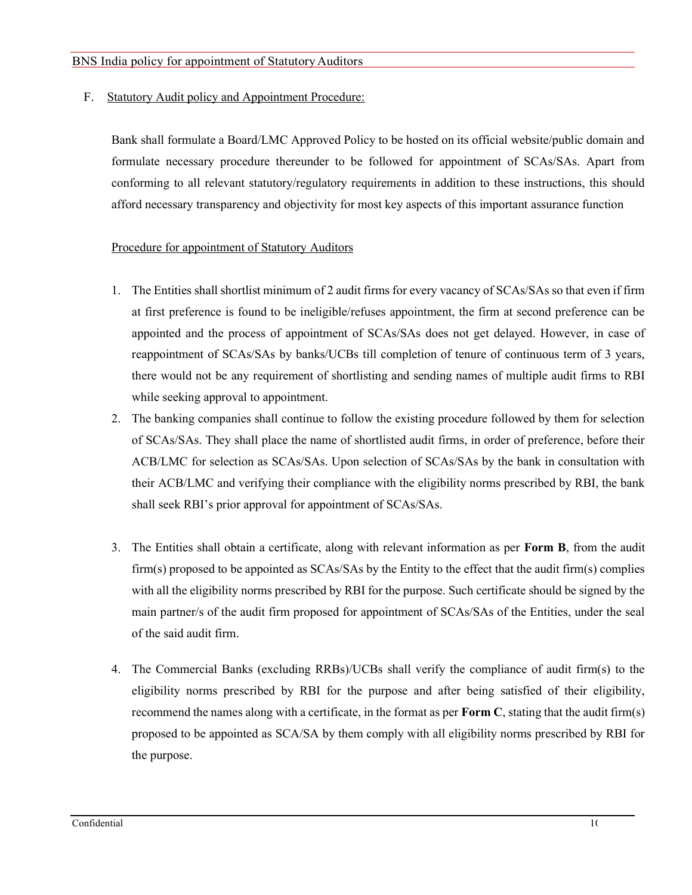F. Statutory Audit policy and Appointment Procedure:

Bank shall formulate a Board/LMC Approved Policy to be hosted on its official website/public domain and formulate necessary procedure thereunder to be followed for appointment of SCAs/SAs. Apart from conforming to all relevant statutory/regulatory requirements in addition to these instructions, this should afford necessary transparency and objectivity for most key aspects of this important assurance function

# Procedure for appointment of Statutory Auditors

- 1. The Entities shall shortlist minimum of 2 audit firms for every vacancy of SCAs/SAs so that even if firm at first preference is found to be ineligible/refuses appointment, the firm at second preference can be appointed and the process of appointment of SCAs/SAs does not get delayed. However, in case of reappointment of SCAs/SAs by banks/UCBs till completion of tenure of continuous term of 3 years, there would not be any requirement of shortlisting and sending names of multiple audit firms to RBI while seeking approval to appointment.
- 2. The banking companies shall continue to follow the existing procedure followed by them for selection of SCAs/SAs. They shall place the name of shortlisted audit firms, in order of preference, before their ACB/LMC for selection as SCAs/SAs. Upon selection of SCAs/SAs by the bank in consultation with their ACB/LMC and verifying their compliance with the eligibility norms prescribed by RBI, the bank shall seek RBI's prior approval for appointment of SCAs/SAs.
- 3. The Entities shall obtain a certificate, along with relevant information as per Form B, from the audit firm(s) proposed to be appointed as SCAs/SAs by the Entity to the effect that the audit firm(s) complies with all the eligibility norms prescribed by RBI for the purpose. Such certificate should be signed by the main partner/s of the audit firm proposed for appointment of SCAs/SAs of the Entities, under the seal of the said audit firm.
- 4. The Commercial Banks (excluding RRBs)/UCBs shall verify the compliance of audit firm(s) to the eligibility norms prescribed by RBI for the purpose and after being satisfied of their eligibility, recommend the names along with a certificate, in the format as per **Form C**, stating that the audit firm(s) proposed to be appointed as SCA/SA by them comply with all eligibility norms prescribed by RBI for the purpose.